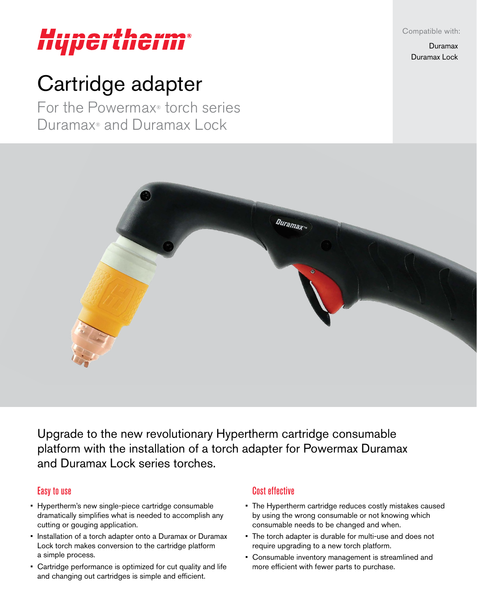Compatible with:

Duramax Duramax Lock

# Hupertheri

# Cartridge adapter

For the Powermax® torch series Duramax® and Duramax Lock



Upgrade to the new revolutionary Hypertherm cartridge consumable platform with the installation of a torch adapter for Powermax Duramax and Duramax Lock series torches.

#### Easy to use

- Hypertherm's new single-piece cartridge consumable dramatically simplifies what is needed to accomplish any cutting or gouging application.
- Installation of a torch adapter onto a Duramax or Duramax Lock torch makes conversion to the cartridge platform a simple process.
- Cartridge performance is optimized for cut quality and life and changing out cartridges is simple and efficient.

## Cost effective

- The Hypertherm cartridge reduces costly mistakes caused by using the wrong consumable or not knowing which consumable needs to be changed and when.
- The torch adapter is durable for multi-use and does not require upgrading to a new torch platform.
- Consumable inventory management is streamlined and more efficient with fewer parts to purchase.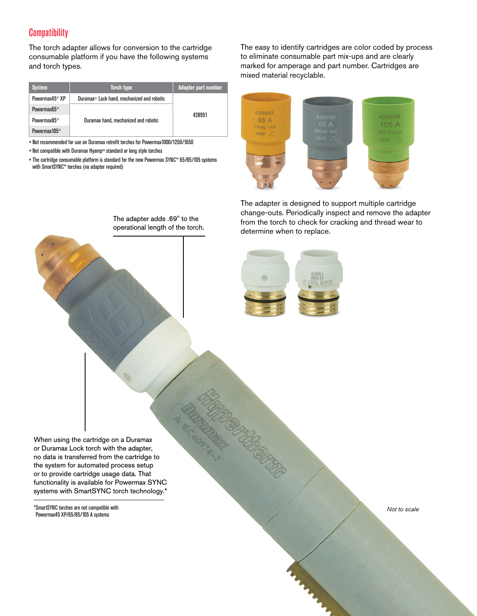#### **Compatibility**

The torch adapter allows for conversion to the cartridge consumable platform if you have the following systems and torch types.

| <b>System</b>              | <b>Torch type</b>                                      | Adapter part number |  |  |
|----------------------------|--------------------------------------------------------|---------------------|--|--|
| Powermax45 <sup>®</sup> XP | Duramax <sup>®</sup> Lock hand, mechanized and robotic |                     |  |  |
| Powermax65 <sup>®</sup>    |                                                        | 428951              |  |  |
| Powermax85 <sup>®</sup>    | Duramax hand, mechanized and robotic                   |                     |  |  |
| Powermax105 <sup>®</sup>   |                                                        |                     |  |  |

• Not recommended for use on Duramax retrofit torches for Powermax1000/1250/1650

• Not compatible with Duramax Hyamp™ standard or long style torches

• The cartridge consumable platform is standard for the new Powermax SYNC™ 65/85/105 systems with SmartSYNC™ torches (no adapter required)

> The adapter adds .69" to the operational length of the torch.

The easy to identify cartridges are color coded by process to eliminate consumable part mix-ups and are clearly marked for amperage and part number. Cartridges are mixed material recyclable.



The adapter is designed to support multiple cartridge change-outs. Periodically inspect and remove the adapter from the torch to check for cracking and thread wear to determine when to replace.



When using the cartridge on a Duramax or Duramax Lock torch with the adapter, no data is transferred from the cartridge to the system for automated process setup or to provide cartridge usage data. That functionality is available for Powermax SYNC systems with SmartSYNC torch technology.\*

\*SmartSYNC torches are not compatible with Powermax45 XP/65/85/105 A systems

*Not to scale*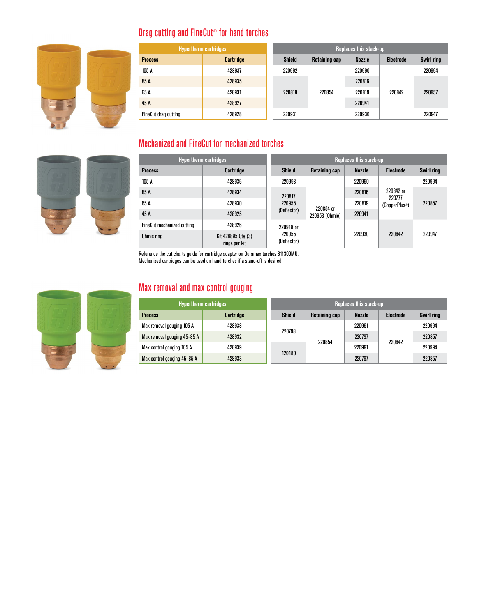

# Drag cutting and FineCut® for hand torches

| <b>Hypertherm cartridges</b> |                  | Replaces this stack-up |                      |               |                  |                   |  |
|------------------------------|------------------|------------------------|----------------------|---------------|------------------|-------------------|--|
| <b>Process</b>               | <b>Cartridge</b> | <b>Shield</b>          | <b>Retaining cap</b> | <b>Nozzle</b> | <b>Electrode</b> | <b>Swirl ring</b> |  |
| 105 A                        | 428937           | 220992                 |                      | 220990        | 220842           | 220994            |  |
| 85 A                         | 428935           | 220818<br>220931       | 220854               | 220816        |                  | 220857            |  |
| 65 A                         | 428931           |                        |                      | 220819        |                  |                   |  |
| 45A                          | 428927           |                        |                      | 220941        |                  |                   |  |
| <b>FineCut drag cutting</b>  | 428928           |                        |                      | 220930        |                  | 220947            |  |

## Mechanized and FineCut for mechanized torches



| <b>Hypertherm cartridges</b> |                                     | Replaces this stack-up |                                                                                                      |               |                                                   |                   |  |
|------------------------------|-------------------------------------|------------------------|------------------------------------------------------------------------------------------------------|---------------|---------------------------------------------------|-------------------|--|
| <b>Process</b>               | Cartridge                           | <b>Shield</b>          | Retaining cap                                                                                        | <b>Nozzle</b> | <b>Electrode</b>                                  | <b>Swirl ring</b> |  |
| 105A                         | 428936                              | 220993                 | 220817<br>220955<br>220854 or<br>(Deflector)<br>220953 (Ohmic)<br>220948 or<br>220955<br>(Deflector) | 220990        | 220842 or<br>220777<br>(CopperPlus <sup>®</sup> ) | 220994            |  |
| 85 A                         | 428934                              |                        |                                                                                                      | 220816        |                                                   | 220857            |  |
| 65 A                         | 428930                              |                        |                                                                                                      | 220819        |                                                   |                   |  |
| 45 A                         | 428925                              |                        |                                                                                                      | 220941        |                                                   |                   |  |
| FineCut mechanized cutting   | 428926                              |                        |                                                                                                      | 220930        |                                                   |                   |  |
| Ohmic ring                   | Kit 428895 Qty (3)<br>rings per kit |                        |                                                                                                      |               | 220842                                            | 220947            |  |

Reference the cut charts guide for cartridge adapter on Duramax torches 811300MU.

Mechanized cartridges can be used on hand torches if a stand-off is desired.



# Max removal and max control gouging

| <b>Hypertherm cartridges</b> |                  | Replaces this stack-up |               |               |                  |                   |
|------------------------------|------------------|------------------------|---------------|---------------|------------------|-------------------|
| <b>Process</b>               | <b>Cartridge</b> | Shield                 | Retaining cap | <b>Nozzle</b> | <b>Electrode</b> | <b>Swirl ring</b> |
| Max removal gouging 105 A    | 428938           | 220798<br>420480       | 220854        | 220991        | 220842           | 220994            |
| Max removal gouging 45-85 A  | 428932           |                        |               | 220797        |                  | 220857            |
| Max control gouging 105 A    | 428939           |                        |               | 220991        |                  | 220994            |
| Max control gouging 45-85 A  | 428933           |                        |               | 220797        |                  | 220857            |